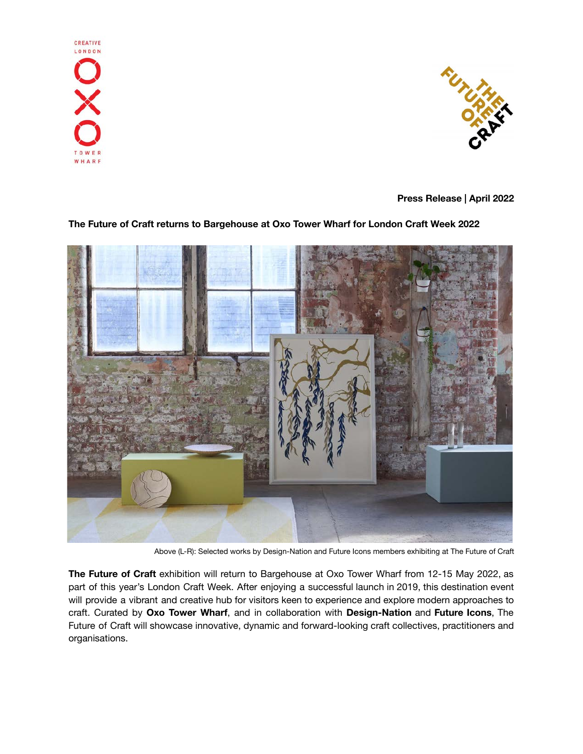



**Press Release | April 2022**

# **The Future of Craft returns to Bargehouse at Oxo Tower Wharf for London Craft Week 2022**



Above (L-R): Selected works by Design-Nation and Future Icons members exhibiting at The Future of Craft

**The Future of Craft** exhibition will return to Bargehouse at Oxo Tower Wharf from 12-15 May 2022, as part of this year's London Craft Week. After enjoying a successful launch in 2019, this destination event will provide a vibrant and creative hub for visitors keen to experience and explore modern approaches to craft. Curated by **Oxo Tower Wharf**, and in collaboration with **Design-Nation** and **Future Icons**, The Future of Craft will showcase innovative, dynamic and forward-looking craft collectives, practitioners and organisations.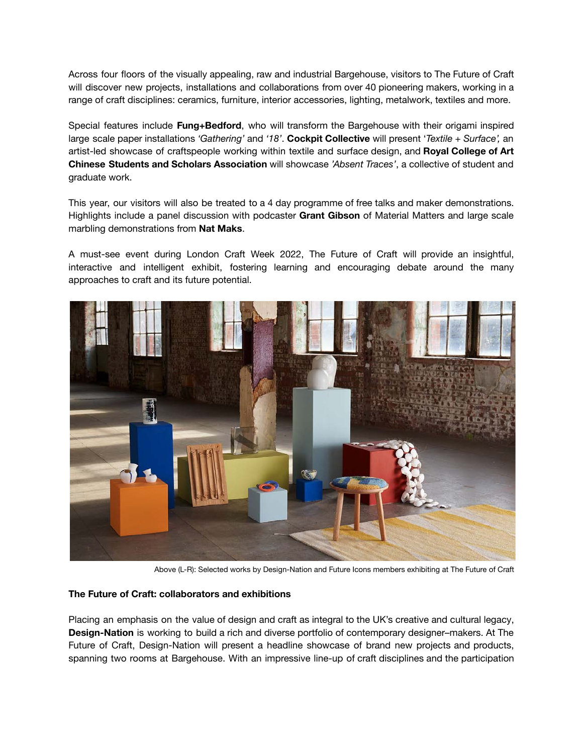Across four floors of the visually appealing, raw and industrial Bargehouse, visitors to The Future of Craft will discover new projects, installations and collaborations from over 40 pioneering makers, working in a range of craft disciplines: ceramics, furniture, interior accessories, lighting, metalwork, textiles and more.

Special features include **Fung+Bedford**, who will transform the Bargehouse with their origami inspired large scale paper installations *'Gathering'* and *'18'*. **Cockpit Collective** will present '*Textile + Surface',* an artist-led showcase of craftspeople working within textile and surface design, and **Royal College of Art Chinese Students and Scholars Association** will showcase *'Absent Traces'*, a collective of student and graduate work.

This year, our visitors will also be treated to a 4 day programme of free talks and maker demonstrations. Highlights include a panel discussion with podcaster **Grant Gibson** of Material Matters and large scale marbling demonstrations from **Nat Maks**.

A must-see event during London Craft Week 2022, The Future of Craft will provide an insightful, interactive and intelligent exhibit, fostering learning and encouraging debate around the many approaches to craft and its future potential.



Above (L-R): Selected works by Design-Nation and Future Icons members exhibiting at The Future of Craft

## **The Future of Craft: collaborators and exhibitions**

Placing an emphasis on the value of design and craft as integral to the UK's creative and cultural legacy, **Design-Nation** is working to build a rich and diverse portfolio of contemporary designer–makers. At The Future of Craft, Design-Nation will present a headline showcase of brand new projects and products, spanning two rooms at Bargehouse. With an impressive line-up of craft disciplines and the participation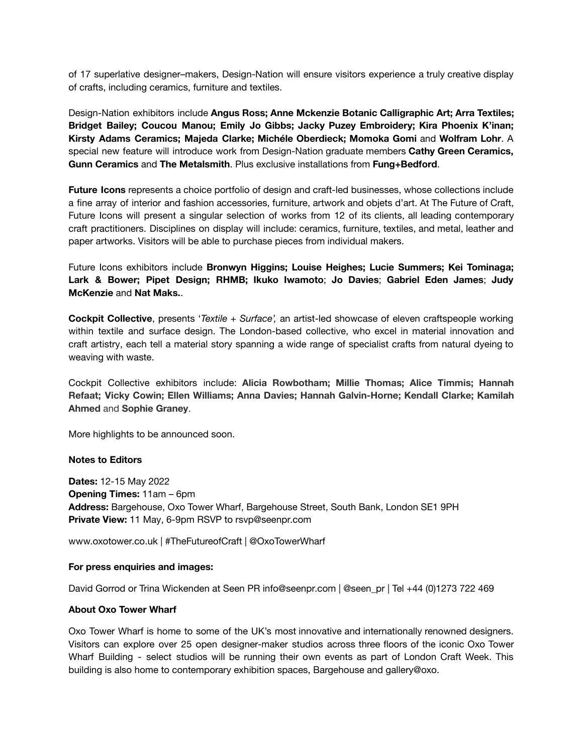of 17 superlative designer–makers, Design-Nation will ensure visitors experience a truly creative display of crafts, including ceramics, furniture and textiles.

Design-Nation exhibitors include **Angus Ross; Anne Mckenzie Botanic Calligraphic Art; Arra Textiles; Bridget Bailey; Coucou Manou; Emily Jo Gibbs; Jacky Puzey Embroidery; Kira Phoenix K'inan; Kirsty Adams Ceramics; Majeda Clarke; Michéle Oberdieck; Momoka Gomi** and **Wolfram Lohr**. A special new feature will introduce work from Design-Nation graduate members **Cathy Green Ceramics, Gunn Ceramics** and **The Metalsmith**. Plus exclusive installations from **Fung+Bedford**.

**Future Icons** represents a choice portfolio of design and craft-led businesses, whose collections include a fine array of interior and fashion accessories, furniture, artwork and objets d'art. At The Future of Craft, Future Icons will present a singular selection of works from 12 of its clients, all leading contemporary craft practitioners. Disciplines on display will include: ceramics, furniture, textiles, and metal, leather and paper artworks. Visitors will be able to purchase pieces from individual makers.

Future Icons exhibitors include **Bronwyn Higgins; Louise Heighes; Lucie Summers; Kei Tominaga; Lark & Bower; Pipet Design; RHMB; Ikuko Iwamoto**; **Jo Davies**; **Gabriel Eden James**; **Judy McKenzie** and **Nat Maks.**.

**Cockpit Collective**, presents '*Textile + Surface',* an artist-led showcase of eleven craftspeople working within textile and surface design. The London-based collective, who excel in material innovation and craft artistry, each tell a material story spanning a wide range of specialist crafts from natural dyeing to weaving with waste.

Cockpit Collective exhibitors include: **Alicia Rowbotham; Millie Thomas; Alice Timmis; Hannah Refaat; Vicky Cowin; Ellen Williams; Anna Davies; Hannah Galvin-Horne; Kendall Clarke; Kamilah Ahmed** and **Sophie Graney**.

More highlights to be announced soon.

#### **Notes to Editors**

**Dates:** 12-15 May 2022 **Opening Times:** 11am – 6pm **Address:** Bargehouse, Oxo Tower Wharf, Bargehouse Street, South Bank, London SE1 9PH **Private View:** 11 May, 6-9pm RSVP to rsvp@seenpr.com

www.oxotower.co.uk | #TheFutureofCraft | @OxoTowerWharf

#### **For press enquiries and images:**

David Gorrod or Trina Wickenden at Seen PR info@seenpr.com | @seen\_pr | Tel +44 (0)1273 722 469

#### **About Oxo Tower Wharf**

Oxo Tower Wharf is home to some of the UK's most innovative and internationally renowned designers. Visitors can explore over 25 open designer-maker studios across three floors of the iconic Oxo Tower Wharf Building - select studios will be running their own events as part of London Craft Week. This building is also home to contemporary exhibition spaces, Bargehouse and gallery@oxo.